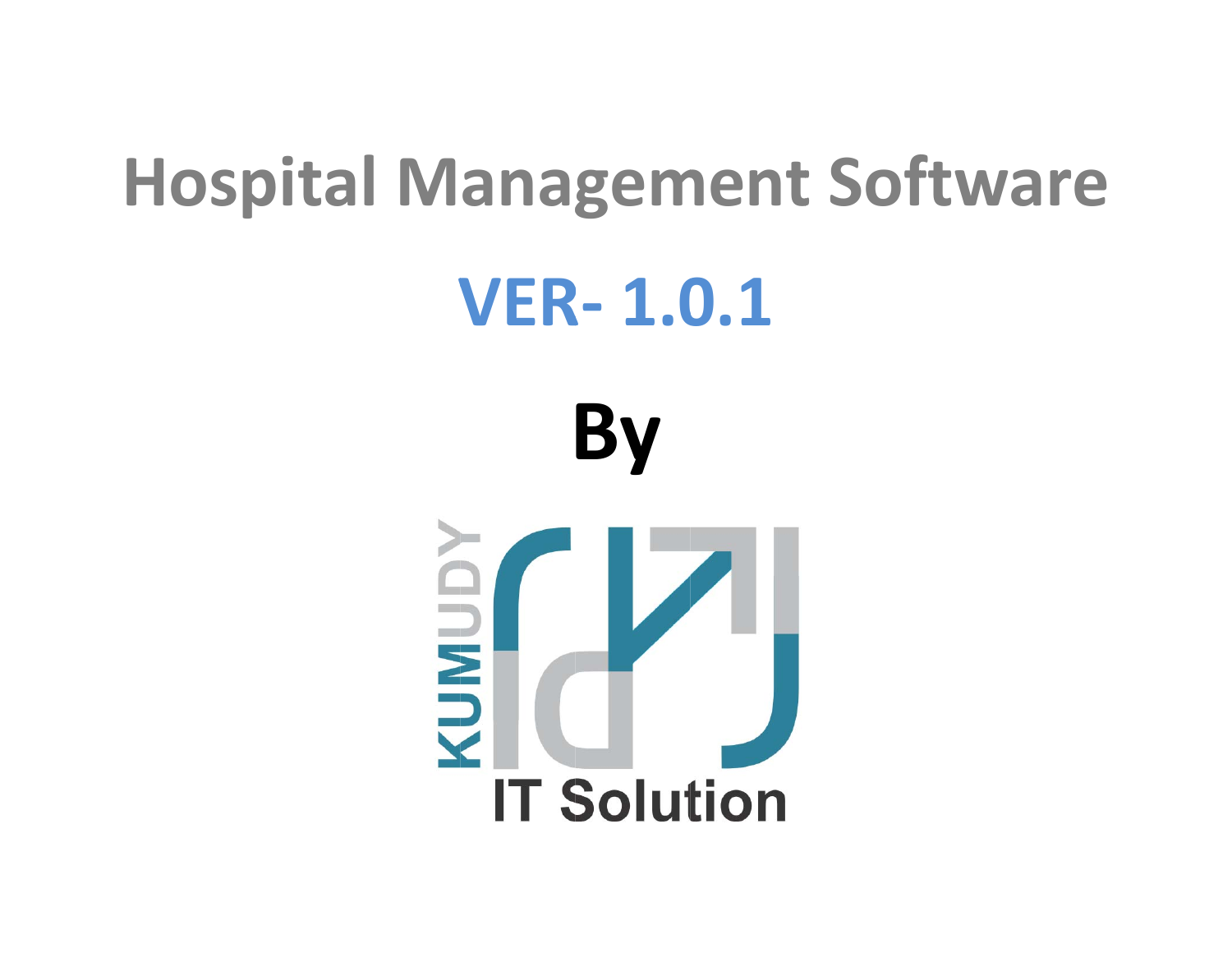# **Hospital Management Software**

## **VER‐ 1.0.1**

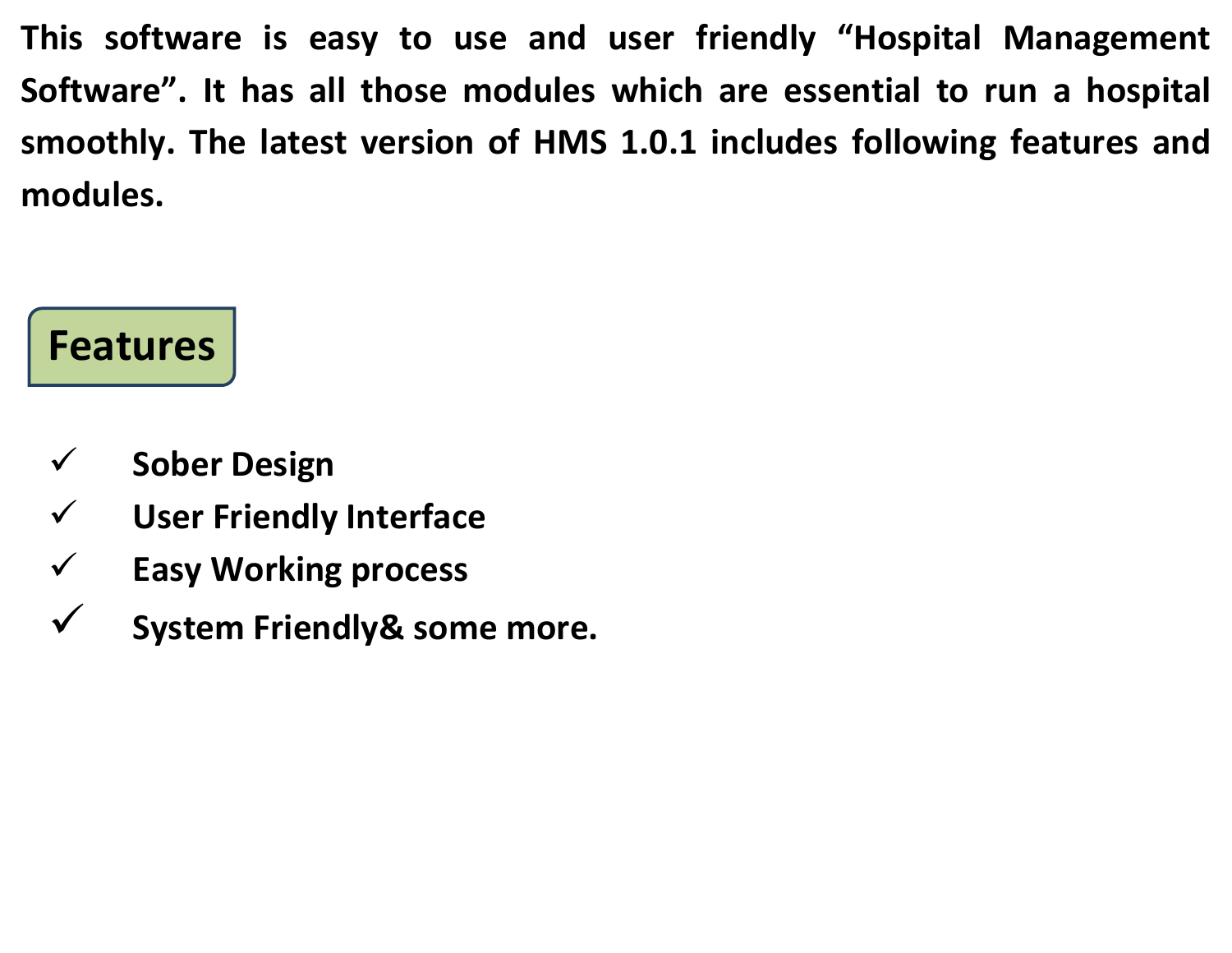**This software is easy to use and user friendly "Hospital Management Software". It has all those modules which are essential to run <sup>a</sup> hospital smoothly. The latest version of HMS 1.0.1 includes following features and modules.**

### **Features**

- $\checkmark$ **Sober Design**
- $\checkmark$ **User Friendly Interface**
- $\checkmark$ **Easy Working process**
- $\checkmark$ **System Friendly& some more.**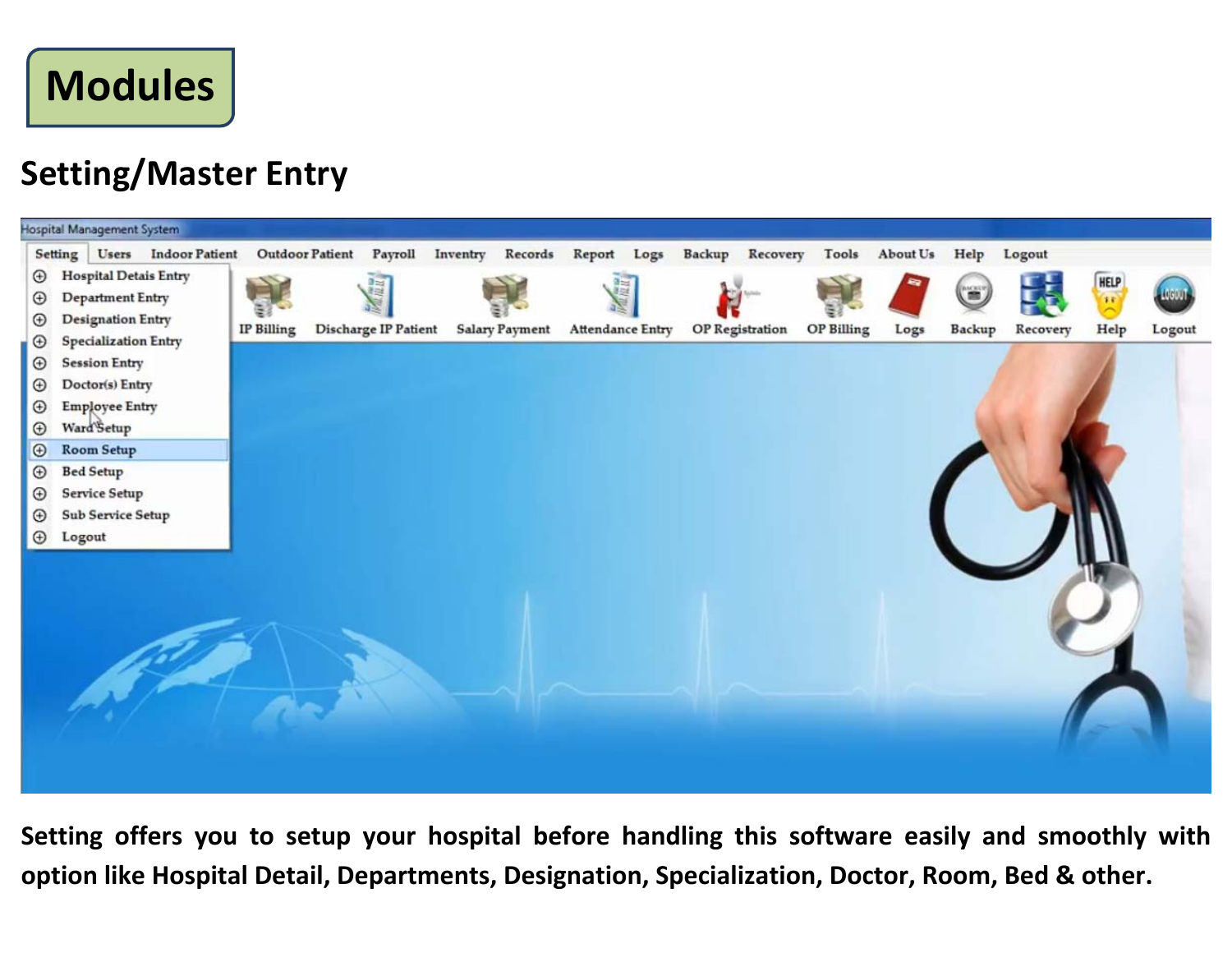**Modules**

#### **Setting/Master Entry**



**Setting offers you to setup your hospital before handling this software easily and smoothly with option like Hospital Detail, Departments, Designation, Specialization, Doctor, Room, Bed & other.**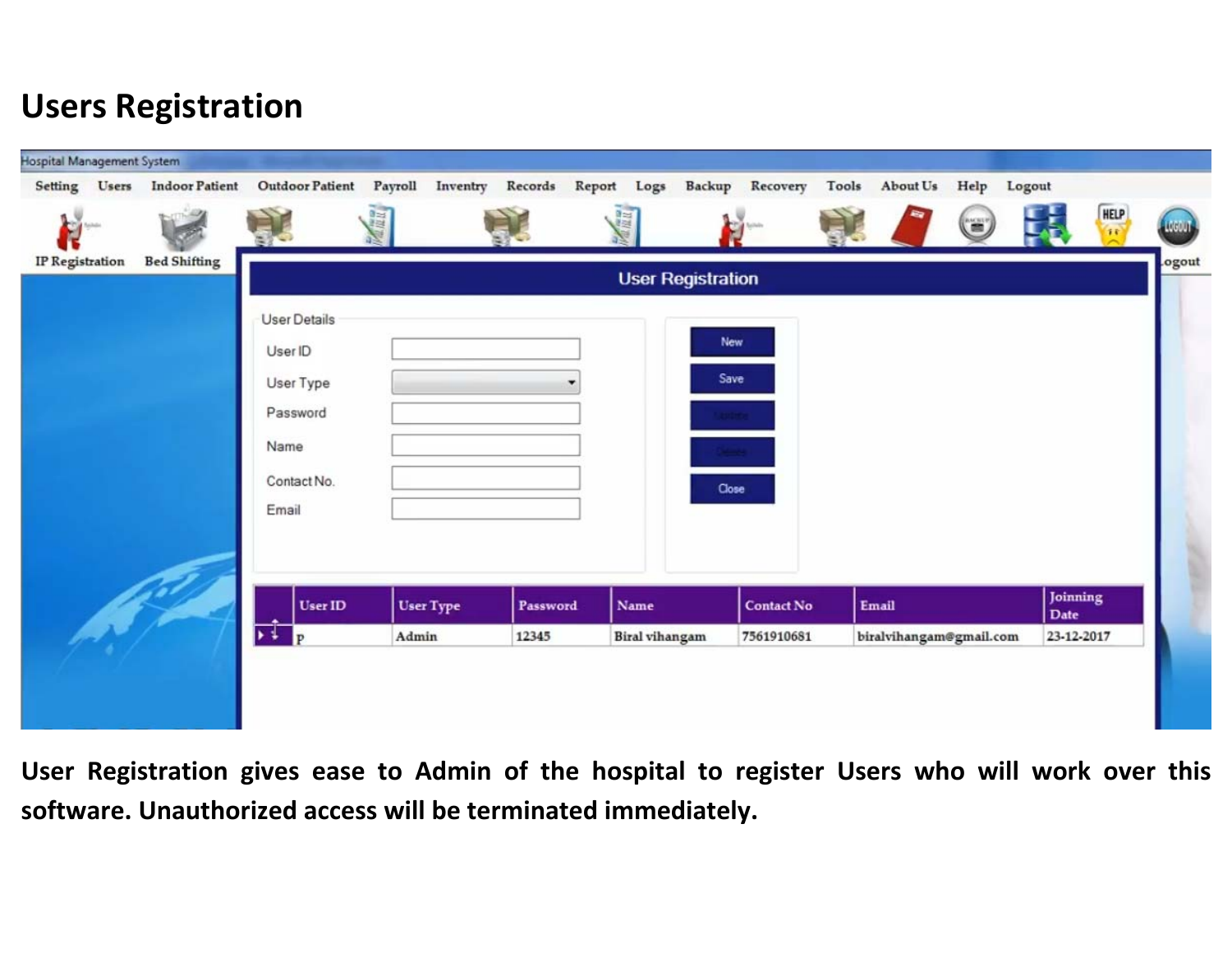#### **Users Registration**

| Setting Users          | Hospital Management System<br><b>Indoor Patient</b> | <b>Outdoor Patient</b>   | Payroll<br>Inventry | Records  | Report Logs | Backup Recovery   | Tools | About Us<br>Help     | Logout           |                                           |
|------------------------|-----------------------------------------------------|--------------------------|---------------------|----------|-------------|-------------------|-------|----------------------|------------------|-------------------------------------------|
| <b>COM</b><br>مشطنما   |                                                     |                          | Manu                |          | 眉           | Golfadha          |       | $\left($ = $\right)$ |                  | <b>HELP</b><br>$\mathcal{L}_{\mathbf{F}}$ |
| <b>IP</b> Registration | <b>Bed Shifting</b>                                 | <b>User Registration</b> |                     |          |             |                   |       |                      |                  |                                           |
|                        |                                                     | <b>User Details</b>      |                     |          |             |                   |       |                      |                  |                                           |
|                        |                                                     | User ID                  |                     |          |             | New               |       |                      |                  |                                           |
|                        |                                                     | User Type                |                     |          |             | Save              |       |                      |                  |                                           |
|                        |                                                     | Password                 |                     |          |             | <b>Author</b>     |       |                      |                  |                                           |
|                        |                                                     | Name                     |                     |          |             |                   |       |                      |                  |                                           |
|                        |                                                     | Contact No.              |                     |          |             | Close             |       |                      |                  |                                           |
|                        |                                                     | Email                    |                     |          |             |                   |       |                      |                  |                                           |
|                        |                                                     |                          |                     |          |             |                   |       |                      |                  |                                           |
|                        |                                                     |                          |                     |          |             |                   |       |                      |                  |                                           |
|                        |                                                     | User ID<br>$\frac{1}{P}$ | <b>User Type</b>    | Password | Name        | <b>Contact No</b> | Email |                      | Joinning<br>Date |                                           |

**User Registration gives ease to Admin of the hospital to register Users who will work over this software. Unauthorized access will be terminated immediately.**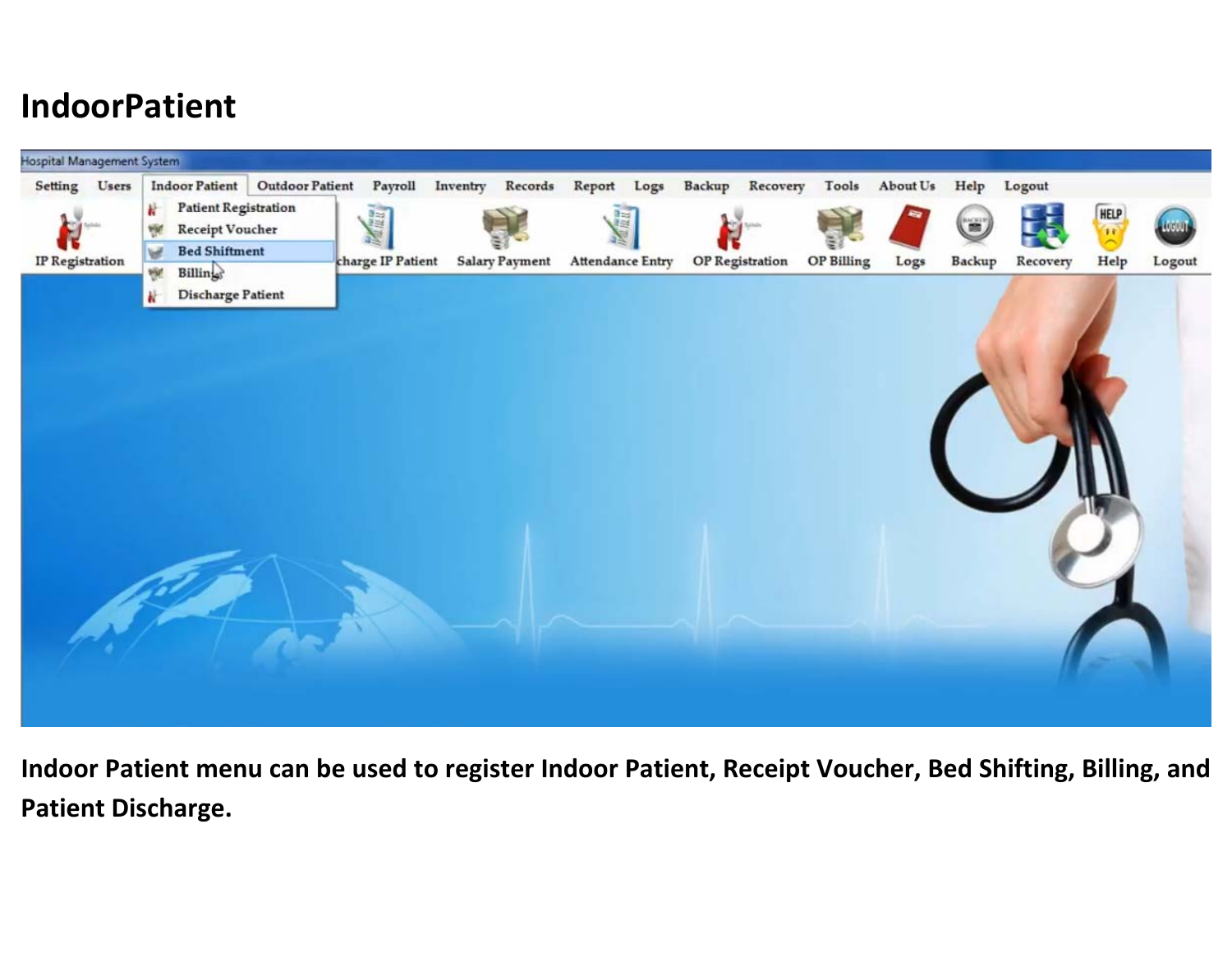#### **IndoorPatient**



**Indoor Patient menu can be used to register Indoor Patient, Receipt Voucher, Bed Shifting, Billing, and Patient Discharge.**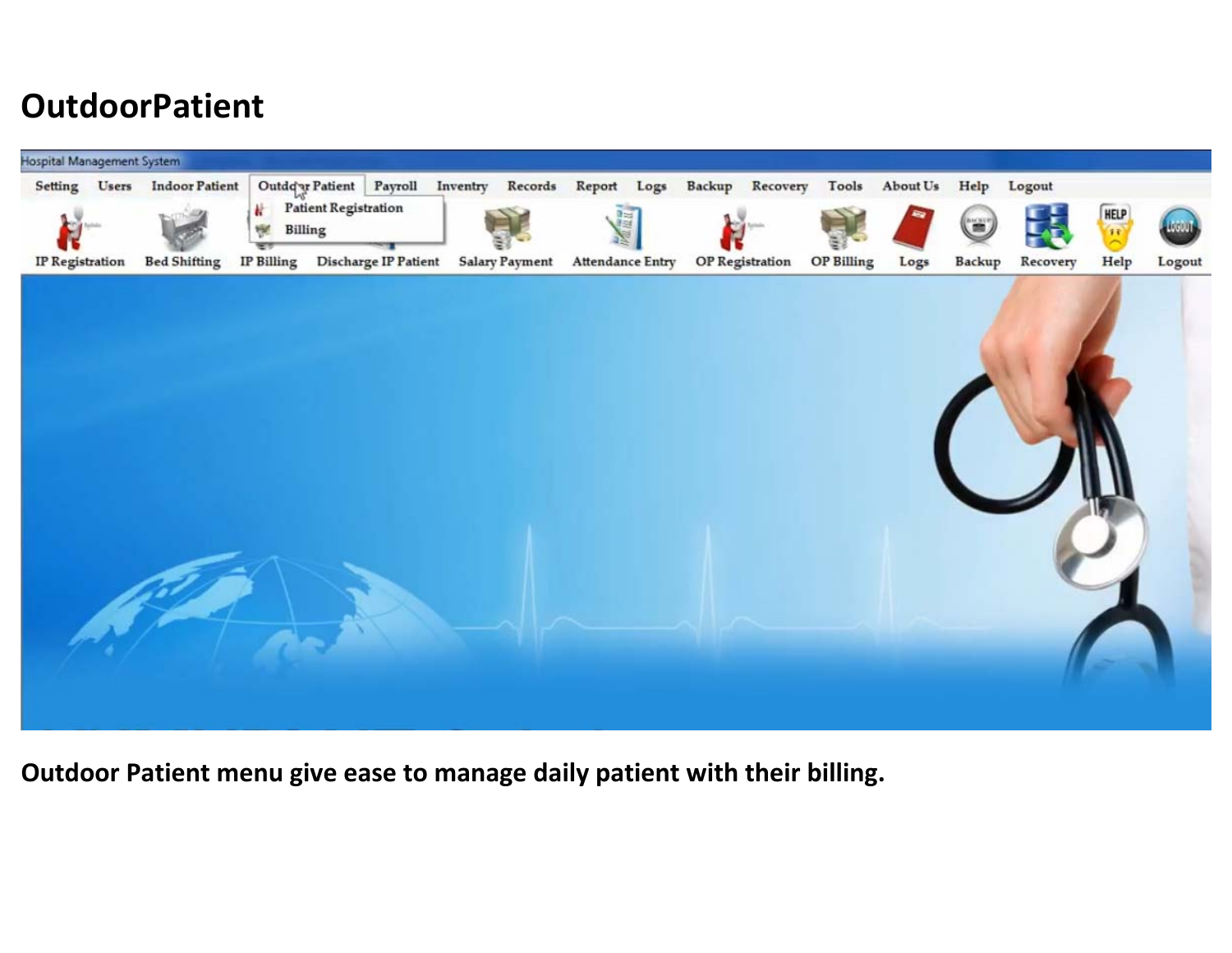#### **OutdoorPatient**



**Outdoor Patient menu give ease to manage daily patient with their billing.**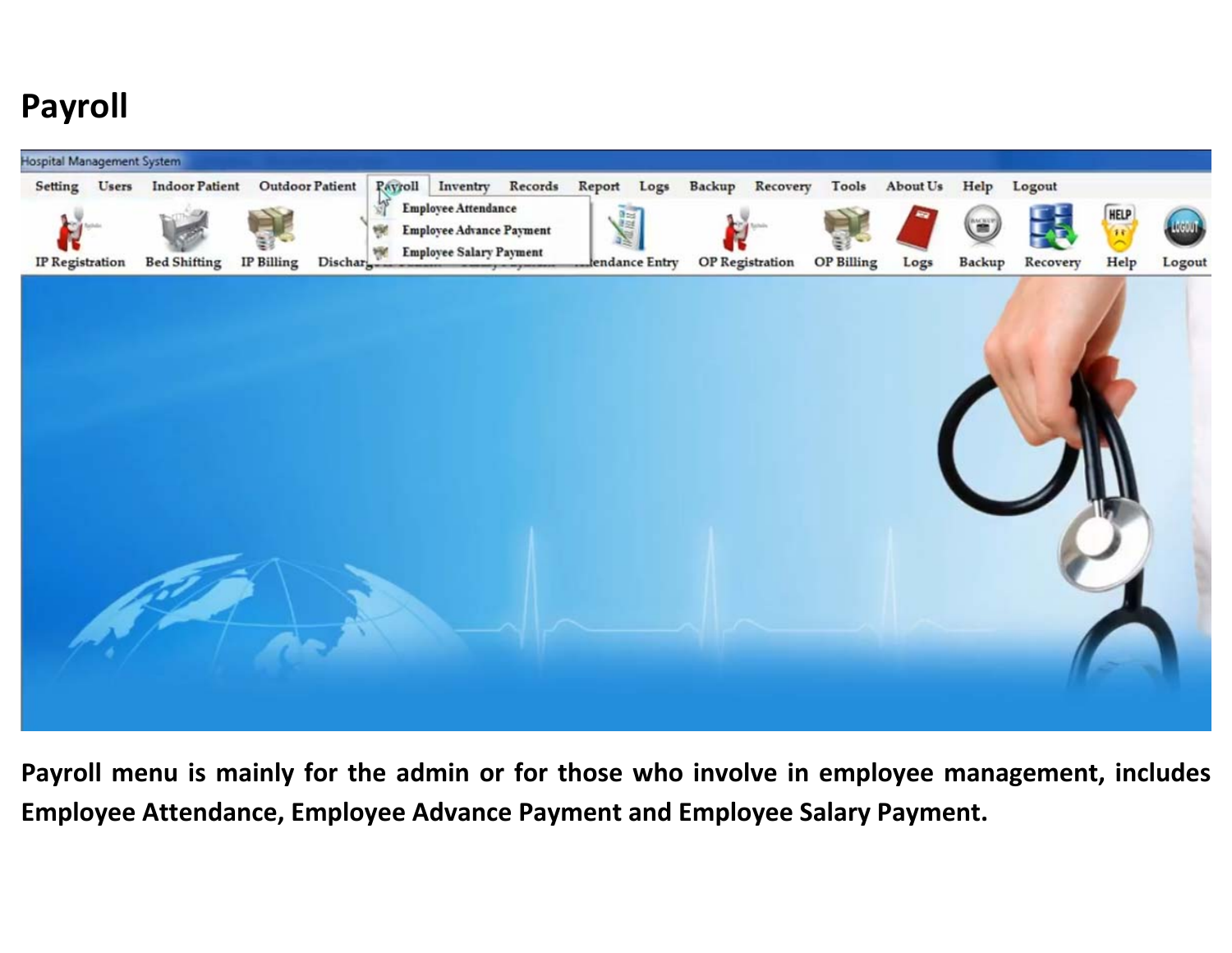#### **Payroll**



**Payroll menu is mainly for the admin or for those who involve in employee management, includes Employee Attendance, Employee Advance Payment and Employee Salary Payment.**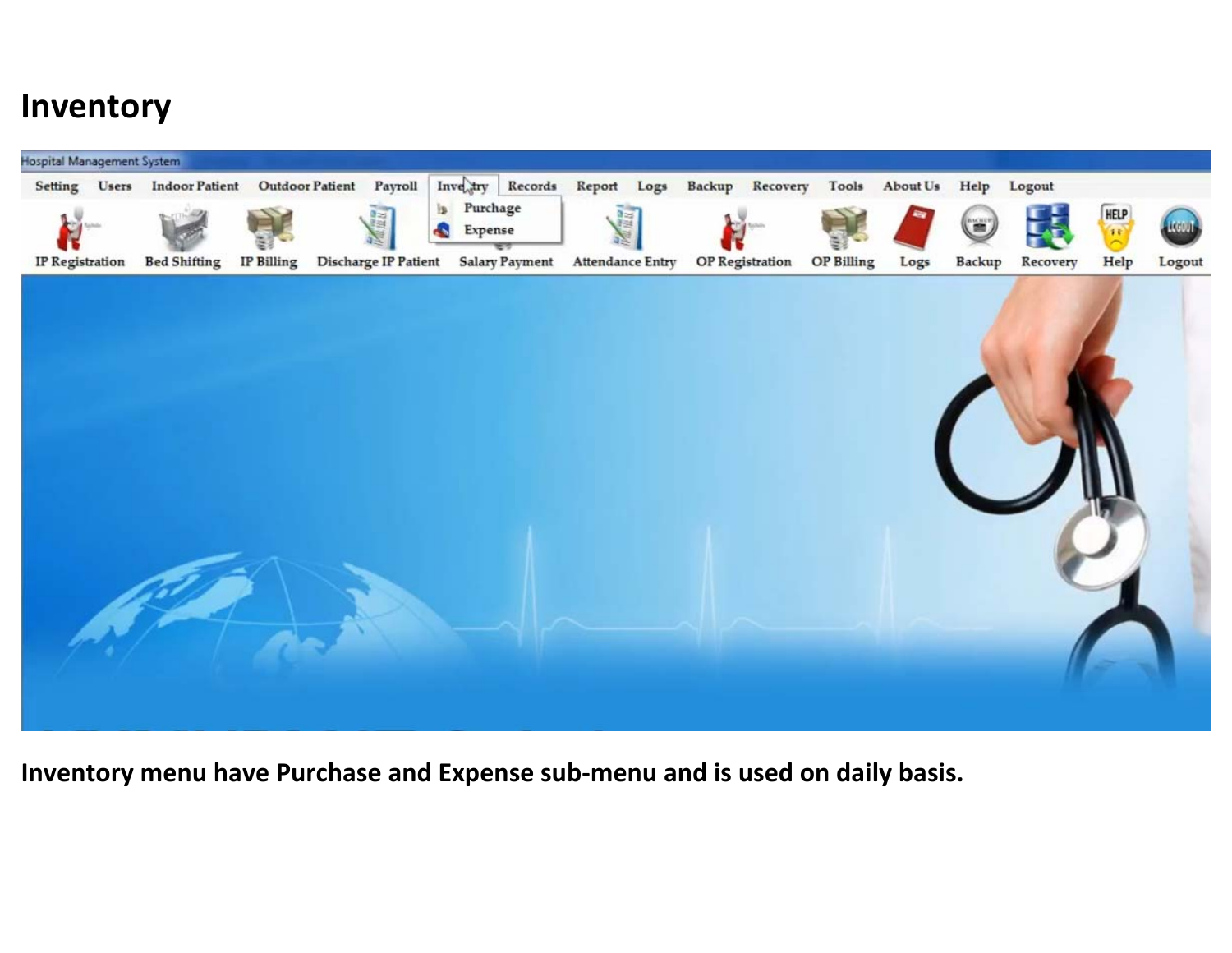#### **Inventory**



**Inventory menu have Purchase and Expense sub‐menu and is used on daily basis.**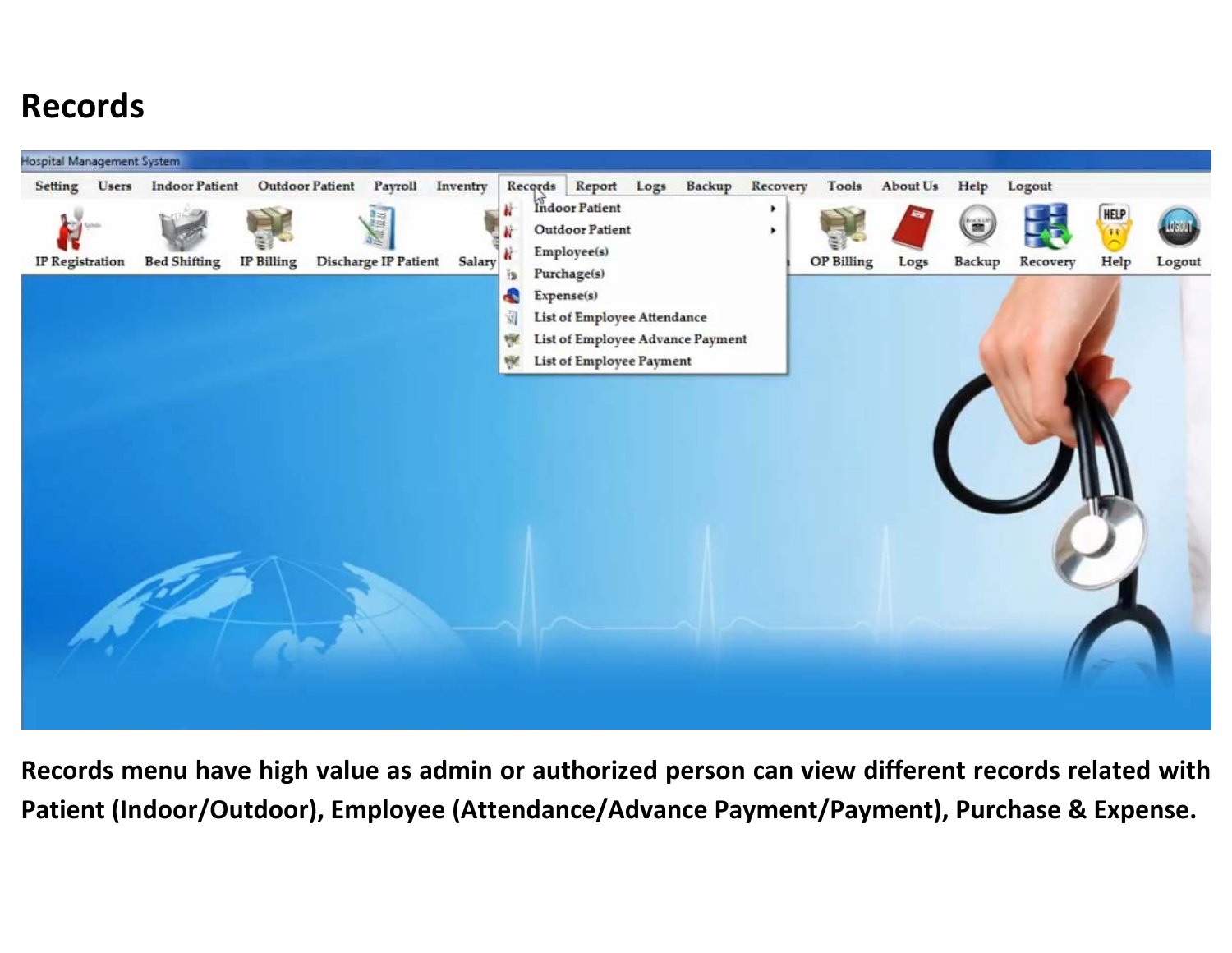#### **Records**



**Records menu have high value as admin or authorized person can view different records related with Patient (Indoor/Outdoor), Employee (Attendance/Advance Payment/Payment), Purchase & Expense.**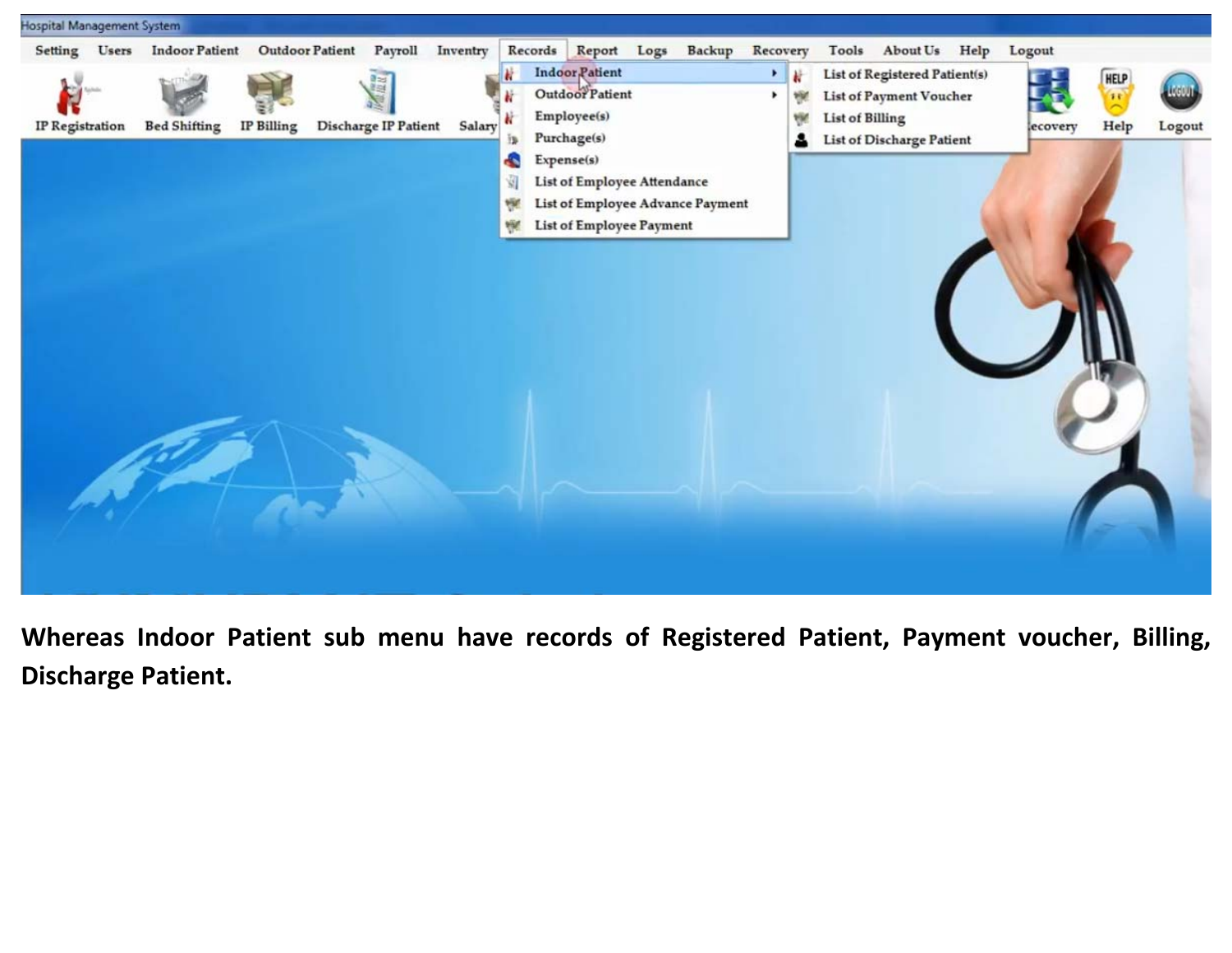

**Whereas Indoor Patient sub menu have records of Registered Patient, Payment voucher, Billing, Discharge Patient.**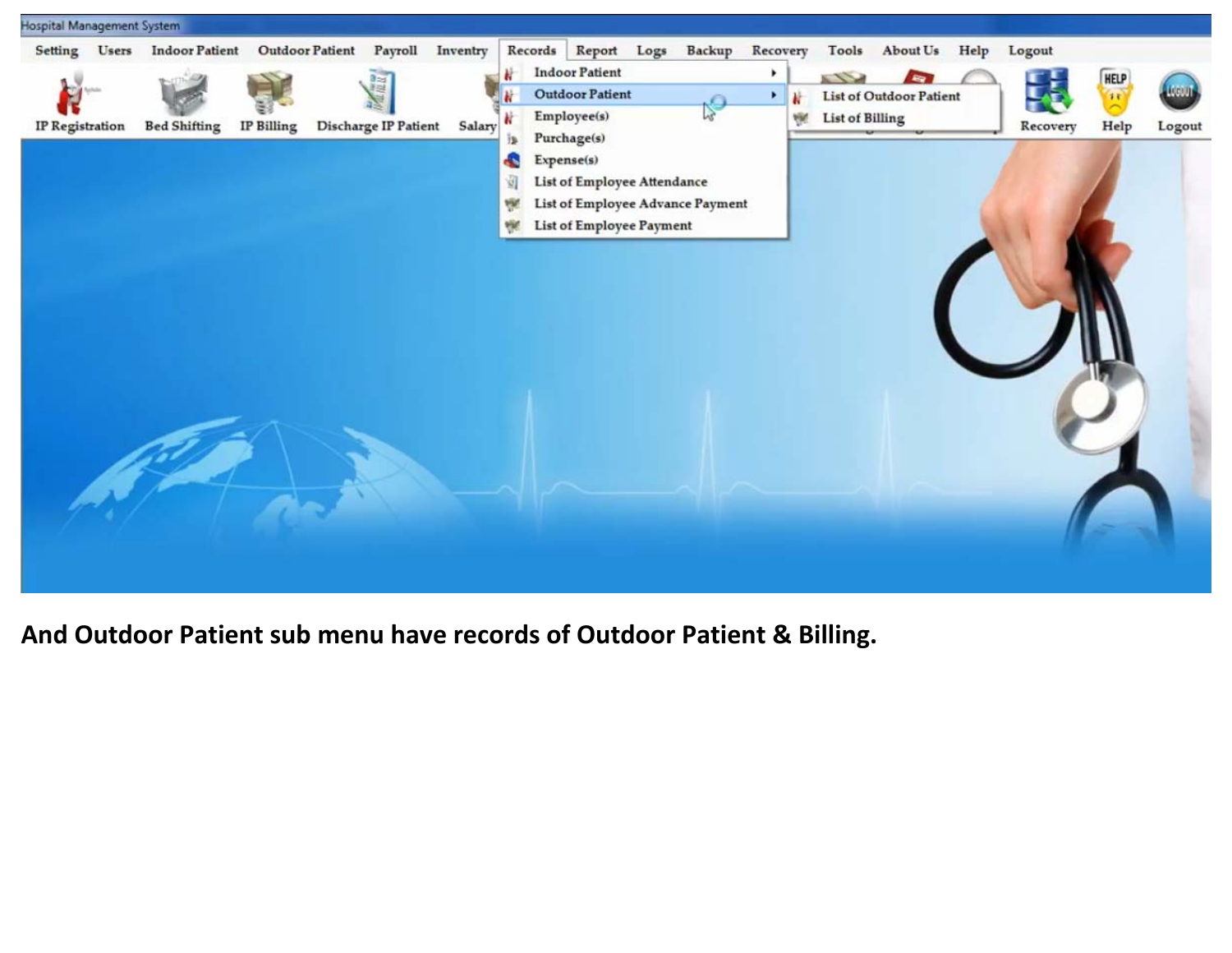

**And Outdoor Patient sub menu have records of Outdoor Patient & Billing.**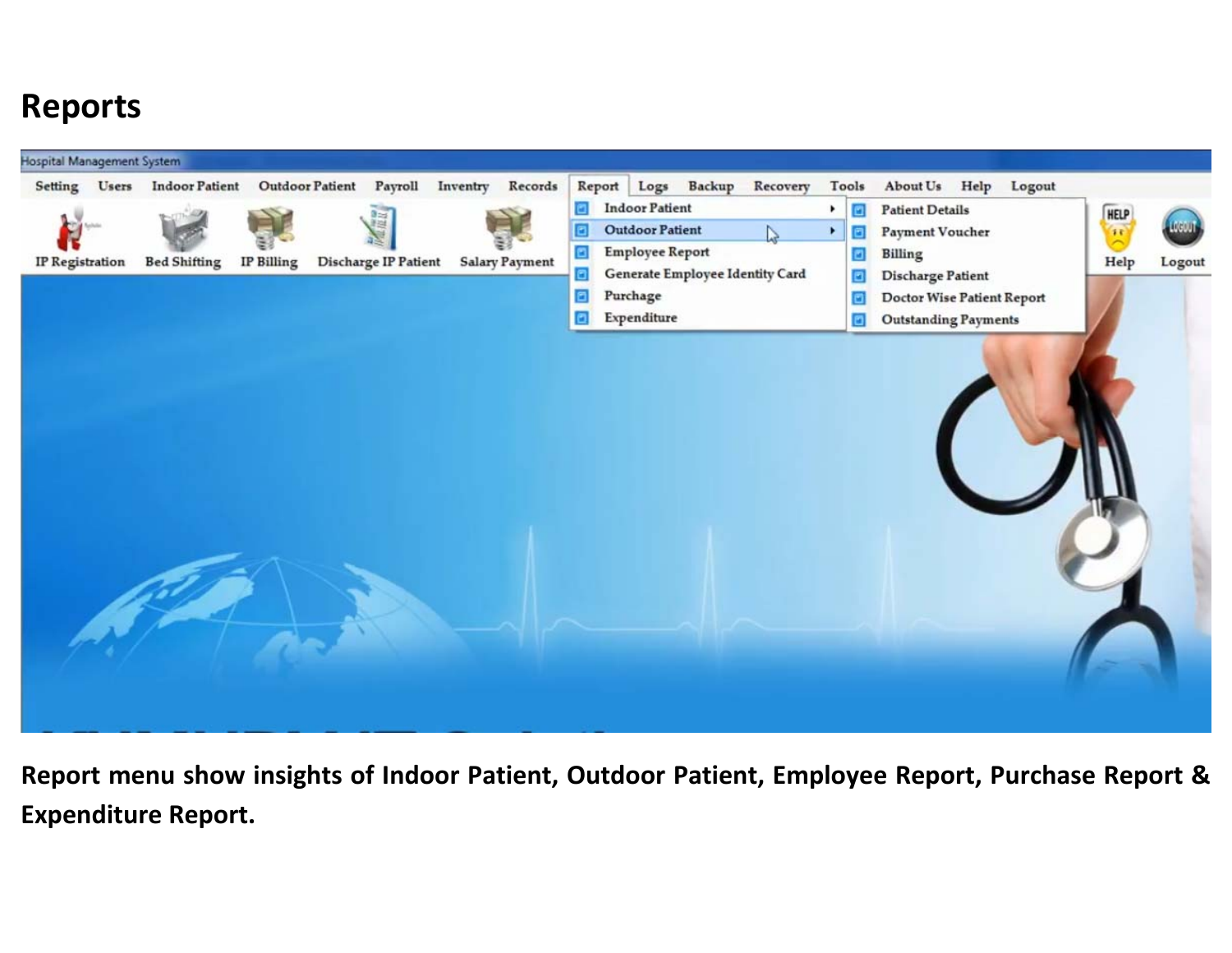#### **Reports**



**Report menu show insights of Indoor Patient, Outdoor Patient, Employee Report, Purchase Report & Expenditure Report.**